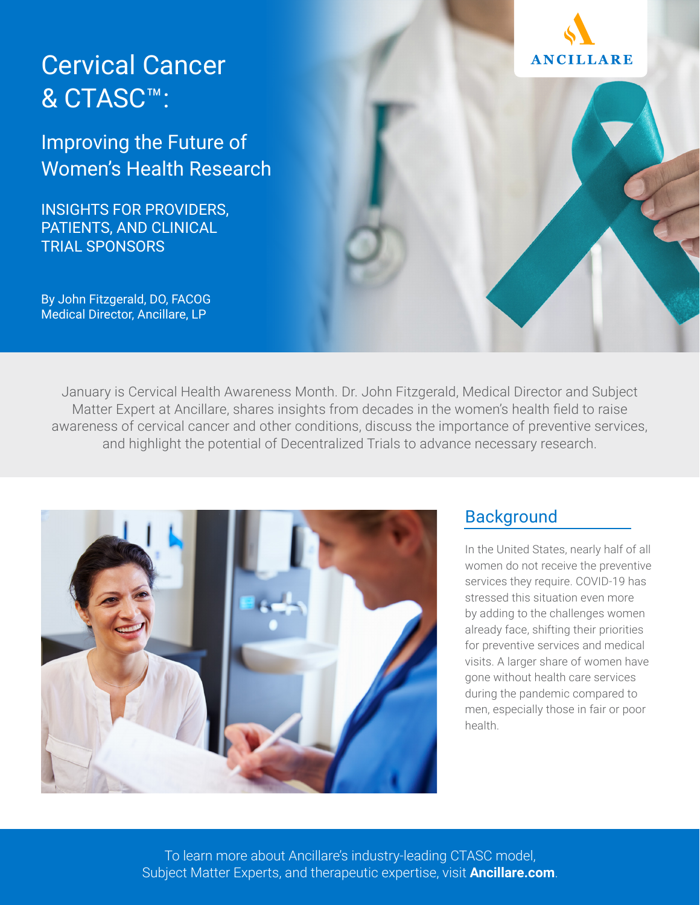# Cervical Cancer & CTASC™:

Improving the Future of Women's Health Research

INSIGHTS FOR PROVIDERS, PATIENTS, AND CLINICAL TRIAL SPONSORS

[By John Fitzgerald, DO, FACOG](https://www.ancillare.com/about/#leadership) [Medical Director, Ancillare, LP](https://www.ancillare.com/about/#leadership)

January is Cervical Health Awareness Month. [Dr. John Fitzgerald](https://www.ancillare.com/about/#leadership), Medical Director and Subject Matter Expert at Ancillare, shares insights from decades in the women's health field to raise awareness of cervical cancer and other conditions, discuss the importance of preventive services, and highlight the potential of Decentralized Trials to advance necessary research.



### **Background**

In the United States, nearly half of all women do not receive the preventive services they require. COVID-19 has stressed this situation even more by adding to the challenges women already face, shifting their priorities for preventive services and medical visits. A larger share of women have gone without health care services during the pandemic compared to men, especially those in fair or poor health.



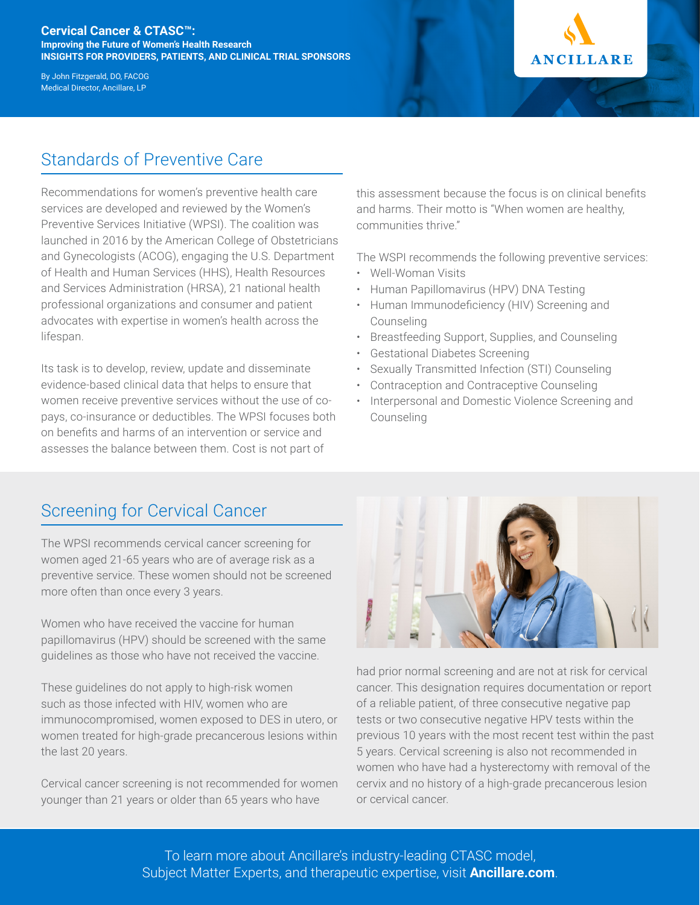#### **Cervical Cancer & CTASC™: Improving the Future of Women's Health Research INSIGHTS FOR PROVIDERS, PATIENTS, AND CLINICAL TRIAL SPONSORS**

[By John Fitzgerald, DO, FACOG](https://www.ancillare.com/about/#leadership) [Medical Director, Ancillare, LP](https://www.ancillare.com/about/#leadership)



# Standards of Preventive Care

Recommendations for women's preventive health care services are developed and reviewed by the Women's Preventive Services Initiative (WPSI). The coalition was launched in 2016 by the American College of Obstetricians and Gynecologists (ACOG), engaging the U.S. Department of Health and Human Services (HHS), Health Resources and Services Administration (HRSA), 21 national health professional organizations and consumer and patient advocates with expertise in women's health across the lifespan.

Its task is to develop, review, update and disseminate evidence-based clinical data that helps to ensure that women receive preventive services without the use of copays, co-insurance or deductibles. The WPSI focuses both on benefits and harms of an intervention or service and assesses the balance between them. Cost is not part of

this assessment because the focus is on clinical benefits and harms. Their motto is "When women are healthy, communities thrive."

The WSPI recommends the following preventive services:

- Well-Woman Visits
- Human Papillomavirus (HPV) DNA Testing
- Human Immunodeficiency (HIV) Screening and Counseling
- Breastfeeding Support, Supplies, and Counseling
- Gestational Diabetes Screening
- Sexually Transmitted Infection (STI) Counseling
- Contraception and Contraceptive Counseling
- Interpersonal and Domestic Violence Screening and Counseling

## Screening for Cervical Cancer

The WPSI recommends cervical cancer screening for women aged 21-65 years who are of average risk as a preventive service. These women should not be screened more often than once every 3 years.

Women who have received the vaccine for human papillomavirus (HPV) should be screened with the same guidelines as those who have not received the vaccine.

These guidelines do not apply to high-risk women such as those infected with HIV, women who are immunocompromised, women exposed to DES in utero, or women treated for high-grade precancerous lesions within the last 20 years.

Cervical cancer screening is not recommended for women younger than 21 years or older than 65 years who have



had prior normal screening and are not at risk for cervical cancer. This designation requires documentation or report of a reliable patient, of three consecutive negative pap tests or two consecutive negative HPV tests within the previous 10 years with the most recent test within the past 5 years. Cervical screening is also not recommended in women who have had a hysterectomy with removal of the cervix and no history of a high-grade precancerous lesion or cervical cancer.

To learn more about Ancillare's industry-leading CTASC model, Subject Matter Experts, and therapeutic expertise, visit **Ancillare.com**.